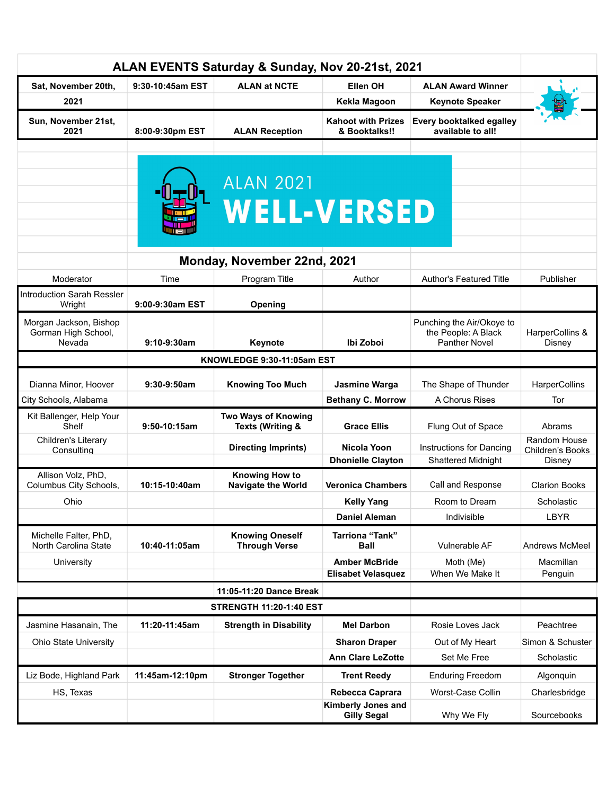| ALAN EVENTS Saturday & Sunday, Nov 20-21st, 2021        |                  |                                                    |                                                   |                                                                          |                                            |
|---------------------------------------------------------|------------------|----------------------------------------------------|---------------------------------------------------|--------------------------------------------------------------------------|--------------------------------------------|
| Sat, November 20th,                                     | 9:30-10:45am EST | <b>ALAN at NCTE</b>                                | Ellen OH                                          | <b>ALAN Award Winner</b>                                                 |                                            |
| 2021                                                    |                  |                                                    | Kekla Magoon                                      | <b>Keynote Speaker</b>                                                   |                                            |
| Sun, November 21st,<br>2021                             | 8:00-9:30pm EST  | <b>ALAN Reception</b>                              | <b>Kahoot with Prizes</b><br>& Booktalks!!        | <b>Every booktalked egalley</b><br>available to all!                     |                                            |
|                                                         |                  |                                                    |                                                   |                                                                          |                                            |
|                                                         |                  | <b>ALAN 2021</b><br><b>WELL-VERSED</b>             |                                                   |                                                                          |                                            |
|                                                         |                  | Monday, November 22nd, 2021                        |                                                   |                                                                          |                                            |
| Moderator                                               | Time             | Program Title                                      | Author                                            | <b>Author's Featured Title</b>                                           | Publisher                                  |
| <b>Introduction Sarah Ressler</b><br>Wright             | 9:00-9:30am EST  | Opening                                            |                                                   |                                                                          |                                            |
| Morgan Jackson, Bishop<br>Gorman High School,<br>Nevada | 9:10-9:30am      | Keynote                                            | Ibi Zoboi                                         | Punching the Air/Okoye to<br>the People: A Black<br><b>Panther Novel</b> | HarperCollins &<br>Disney                  |
| KNOWLEDGE 9:30-11:05am EST                              |                  |                                                    |                                                   |                                                                          |                                            |
| Dianna Minor, Hoover                                    | 9:30-9:50am      | <b>Knowing Too Much</b>                            | Jasmine Warga                                     | The Shape of Thunder                                                     | HarperCollins                              |
| City Schools, Alabama                                   |                  |                                                    | <b>Bethany C. Morrow</b>                          | A Chorus Rises                                                           | Tor                                        |
| Kit Ballenger, Help Your<br>Shelf                       | 9:50-10:15am     | Two Ways of Knowing<br><b>Texts (Writing &amp;</b> | <b>Grace Ellis</b>                                | Flung Out of Space                                                       | Abrams                                     |
| Children's Literary<br>Consulting                       |                  | <b>Directing Imprints)</b>                         | <b>Nicola Yoon</b><br><b>Dhonielle Clayton</b>    | Instructions for Dancing<br><b>Shattered Midnight</b>                    | Random House<br>Children's Books<br>Disney |
| Allison Volz, PhD,<br>Columbus City Schools,            | 10:15-10:40am    | <b>Knowing How to</b><br><b>Navigate the World</b> | <b>Veronica Chambers</b>                          | Call and Response                                                        | <b>Clarion Books</b>                       |
| Ohio                                                    |                  |                                                    | <b>Kelly Yang</b>                                 | Room to Dream                                                            | Scholastic                                 |
|                                                         |                  |                                                    | <b>Daniel Aleman</b>                              | Indivisible                                                              | <b>LBYR</b>                                |
| Michelle Falter, PhD,<br>North Carolina State           | 10:40-11:05am    | <b>Knowing Oneself</b><br><b>Through Verse</b>     | <b>Tarriona "Tank"</b><br><b>Ball</b>             | Vulnerable AF                                                            | Andrews McMeel                             |
| University                                              |                  |                                                    | <b>Amber McBride</b><br><b>Elisabet Velasquez</b> | Moth (Me)<br>When We Make It                                             | Macmillan<br>Penguin                       |
| 11:05-11:20 Dance Break                                 |                  |                                                    |                                                   |                                                                          |                                            |
| <b>STRENGTH 11:20-1:40 EST</b>                          |                  |                                                    |                                                   |                                                                          |                                            |
| Jasmine Hasanain, The                                   | 11:20-11:45am    | <b>Strength in Disability</b>                      | <b>Mel Darbon</b>                                 | Rosie Loves Jack                                                         | Peachtree                                  |
| <b>Ohio State University</b>                            |                  |                                                    | <b>Sharon Draper</b>                              | Out of My Heart                                                          | Simon & Schuster                           |
|                                                         |                  |                                                    | <b>Ann Clare LeZotte</b>                          | Set Me Free                                                              | Scholastic                                 |
| Liz Bode, Highland Park                                 | 11:45am-12:10pm  | <b>Stronger Together</b>                           | <b>Trent Reedy</b>                                | <b>Enduring Freedom</b>                                                  | Algonquin                                  |
| HS, Texas                                               |                  |                                                    | Rebecca Caprara                                   | Worst-Case Collin                                                        | Charlesbridge                              |
|                                                         |                  |                                                    | <b>Kimberly Jones and</b><br><b>Gilly Segal</b>   | Why We Fly                                                               | Sourcebooks                                |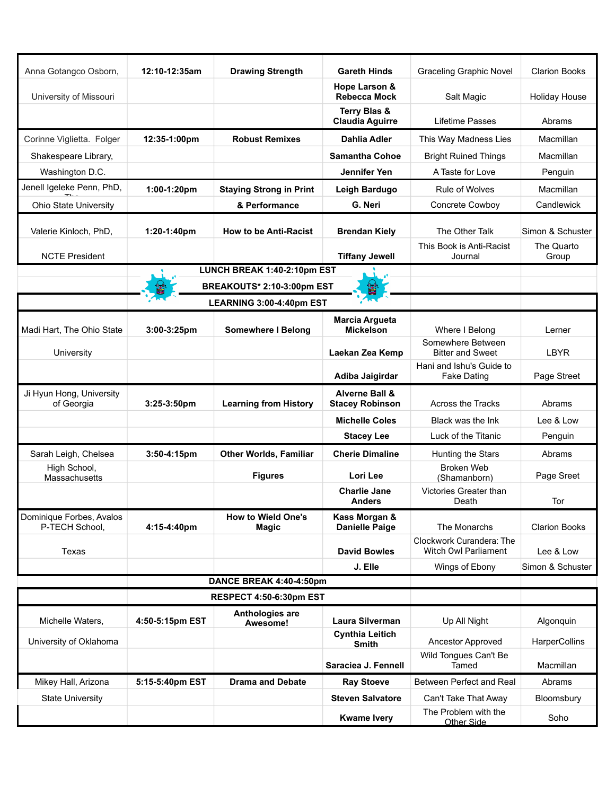| Anna Gotangco Osborn,                      | 12:10-12:35am   | <b>Drawing Strength</b>                   | <b>Gareth Hinds</b>                                 | <b>Graceling Graphic Novel</b>                          | <b>Clarion Books</b>           |  |
|--------------------------------------------|-----------------|-------------------------------------------|-----------------------------------------------------|---------------------------------------------------------|--------------------------------|--|
| University of Missouri                     |                 |                                           | Hope Larson &<br><b>Rebecca Mock</b>                | Salt Magic                                              | <b>Holiday House</b>           |  |
|                                            |                 |                                           | Terry Blas &<br><b>Claudia Aguirre</b>              | Lifetime Passes                                         | Abrams                         |  |
| Corinne Viglietta. Folger                  | 12:35-1:00pm    | <b>Robust Remixes</b>                     | <b>Dahlia Adler</b>                                 | This Way Madness Lies                                   | Macmillan                      |  |
| Shakespeare Library,                       |                 |                                           | <b>Samantha Cohoe</b>                               | <b>Bright Ruined Things</b>                             | Macmillan                      |  |
| Washington D.C.                            |                 |                                           | Jennifer Yen                                        | A Taste for Love                                        | Penguin                        |  |
| Jenell Igeleke Penn, PhD,                  | 1:00-1:20pm     | <b>Staying Strong in Print</b>            | Leigh Bardugo                                       | Rule of Wolves                                          | Macmillan                      |  |
| <b>Ohio State University</b>               |                 | & Performance                             | G. Neri                                             | Concrete Cowboy                                         | Candlewick                     |  |
|                                            |                 |                                           |                                                     |                                                         |                                |  |
| Valerie Kinloch, PhD,                      | 1:20-1:40pm     | <b>How to be Anti-Racist</b>              | <b>Brendan Kiely</b>                                | The Other Talk<br>This Book is Anti-Racist              | Simon & Schuster<br>The Quarto |  |
| <b>NCTE President</b>                      |                 |                                           | <b>Tiffany Jewell</b>                               | Journal                                                 | Group                          |  |
|                                            |                 | LUNCH BREAK 1:40-2:10pm EST               |                                                     |                                                         |                                |  |
|                                            |                 | BREAKOUTS* 2:10-3:00pm EST                |                                                     |                                                         |                                |  |
|                                            |                 | LEARNING 3:00-4:40pm EST                  |                                                     |                                                         |                                |  |
| Madi Hart, The Ohio State                  | 3:00-3:25pm     | <b>Somewhere I Belong</b>                 | <b>Marcia Argueta</b><br><b>Mickelson</b>           | Where I Belong                                          | Lerner                         |  |
| University                                 |                 |                                           | Laekan Zea Kemp                                     | Somewhere Between<br><b>Bitter and Sweet</b>            | <b>LBYR</b>                    |  |
|                                            |                 |                                           | Adiba Jaigirdar                                     | Hani and Ishu's Guide to<br><b>Fake Dating</b>          | Page Street                    |  |
| Ji Hyun Hong, University<br>of Georgia     | 3:25-3:50pm     | <b>Learning from History</b>              | <b>Alverne Ball &amp;</b><br><b>Stacey Robinson</b> | Across the Tracks                                       | Abrams                         |  |
|                                            |                 |                                           | <b>Michelle Coles</b>                               | Black was the Ink                                       | Lee & Low                      |  |
|                                            |                 |                                           | <b>Stacey Lee</b>                                   | Luck of the Titanic                                     | Penguin                        |  |
| Sarah Leigh, Chelsea                       | 3:50-4:15pm     | <b>Other Worlds, Familiar</b>             | <b>Cherie Dimaline</b>                              | Hunting the Stars                                       | Abrams                         |  |
| High School,<br>Massachusetts              |                 | <b>Figures</b>                            | Lori Lee                                            | <b>Broken Web</b><br>(Shamanborn)                       | Page Sreet                     |  |
|                                            |                 |                                           | <b>Charlie Jane</b><br>Anders                       | Victories Greater than<br>Death                         | Tor                            |  |
| Dominique Forbes, Avalos<br>P-TECH School, | 4:15-4:40pm     | <b>How to Wield One's</b><br><b>Magic</b> | Kass Morgan &<br><b>Danielle Paige</b>              | The Monarchs                                            | <b>Clarion Books</b>           |  |
| Texas                                      |                 |                                           | <b>David Bowles</b>                                 | Clockwork Curandera: The<br><b>Witch Owl Parliament</b> | Lee & Low                      |  |
|                                            |                 |                                           | J. Elle                                             | Wings of Ebony                                          | Simon & Schuster               |  |
|                                            |                 | DANCE BREAK 4:40-4:50pm                   |                                                     |                                                         |                                |  |
| <b>RESPECT 4:50-6:30pm EST</b>             |                 |                                           |                                                     |                                                         |                                |  |
| Michelle Waters,                           | 4:50-5:15pm EST | Anthologies are<br>Awesome!               | <b>Laura Silverman</b>                              | Up All Night                                            | Algonquin                      |  |
| University of Oklahoma                     |                 |                                           | <b>Cynthia Leitich</b><br>Smith                     | <b>Ancestor Approved</b>                                | HarperCollins                  |  |
|                                            |                 |                                           | Saraciea J. Fennell                                 | Wild Tongues Can't Be<br>Tamed                          | Macmillan                      |  |
| Mikey Hall, Arizona                        | 5:15-5:40pm EST | <b>Drama and Debate</b>                   | <b>Ray Stoeve</b>                                   | Between Perfect and Real                                | Abrams                         |  |
| <b>State University</b>                    |                 |                                           | <b>Steven Salvatore</b>                             | Can't Take That Away                                    | Bloomsbury                     |  |
|                                            |                 |                                           | <b>Kwame Ivery</b>                                  | The Problem with the<br><b>Other Side</b>               | Soho                           |  |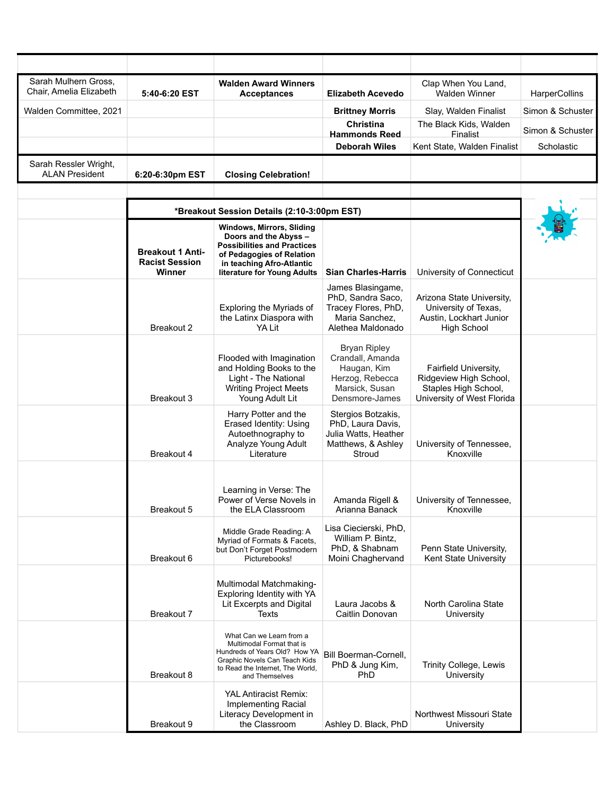| Sarah Mulhern Gross,<br>Chair, Amelia Elizabeth | 5:40-6:20 EST                                              | <b>Walden Award Winners</b><br><b>Acceptances</b>                                                                                                                                        | <b>Elizabeth Acevedo</b>                                                                                      | Clap When You Land,<br><b>Walden Winner</b>                                                           | HarperCollins    |
|-------------------------------------------------|------------------------------------------------------------|------------------------------------------------------------------------------------------------------------------------------------------------------------------------------------------|---------------------------------------------------------------------------------------------------------------|-------------------------------------------------------------------------------------------------------|------------------|
| Walden Committee, 2021                          |                                                            |                                                                                                                                                                                          | <b>Brittney Morris</b>                                                                                        | Slay, Walden Finalist                                                                                 | Simon & Schuster |
|                                                 |                                                            |                                                                                                                                                                                          | <b>Christina</b><br><b>Hammonds Reed</b>                                                                      | The Black Kids, Walden<br><b>Finalist</b>                                                             | Simon & Schuster |
|                                                 |                                                            |                                                                                                                                                                                          | <b>Deborah Wiles</b>                                                                                          | Kent State, Walden Finalist                                                                           | Scholastic       |
| Sarah Ressler Wright,                           |                                                            |                                                                                                                                                                                          |                                                                                                               |                                                                                                       |                  |
| <b>ALAN President</b>                           | 6:20-6:30pm EST                                            | <b>Closing Celebration!</b>                                                                                                                                                              |                                                                                                               |                                                                                                       |                  |
|                                                 | *Breakout Session Details (2:10-3:00pm EST)                |                                                                                                                                                                                          |                                                                                                               |                                                                                                       |                  |
|                                                 | <b>Breakout 1 Anti-</b><br><b>Racist Session</b><br>Winner | <b>Windows, Mirrors, Sliding</b><br>Doors and the Abyss -<br><b>Possibilities and Practices</b><br>of Pedagogies of Relation<br>in teaching Afro-Atlantic<br>literature for Young Adults | <b>Sian Charles-Harris</b>                                                                                    | University of Connecticut                                                                             |                  |
|                                                 | Breakout 2                                                 | Exploring the Myriads of<br>the Latinx Diaspora with<br>YA Lit                                                                                                                           | James Blasingame,<br>PhD, Sandra Saco,<br>Tracey Flores, PhD,<br>Maria Sanchez,<br>Alethea Maldonado          | Arizona State University,<br>University of Texas,<br>Austin, Lockhart Junior<br><b>High School</b>    |                  |
|                                                 | Breakout 3                                                 | Flooded with Imagination<br>and Holding Books to the<br>Light - The National<br><b>Writing Project Meets</b><br>Young Adult Lit                                                          | <b>Bryan Ripley</b><br>Crandall, Amanda<br>Haugan, Kim<br>Herzog, Rebecca<br>Marsick, Susan<br>Densmore-James | Fairfield University,<br>Ridgeview High School,<br>Staples High School,<br>University of West Florida |                  |
|                                                 | Breakout 4                                                 | Harry Potter and the<br>Erased Identity: Using<br>Autoethnography to<br>Analyze Young Adult<br>Literature                                                                                | Stergios Botzakis,<br>PhD, Laura Davis,<br>Julia Watts, Heather<br>Matthews, & Ashley<br>Stroud               | University of Tennessee,<br>Knoxville                                                                 |                  |
|                                                 | Breakout 5                                                 | Learning in Verse: The<br>Power of Verse Novels in<br>the ELA Classroom                                                                                                                  | Amanda Rigell &<br>Arianna Banack                                                                             | University of Tennessee.<br>Knoxville                                                                 |                  |
|                                                 | Breakout 6                                                 | Middle Grade Reading: A<br>Myriad of Formats & Facets,<br>but Don't Forget Postmodern<br>Picturebooks!                                                                                   | Lisa Ciecierski, PhD,<br>William P. Bintz,<br>PhD, & Shabnam<br>Moini Chaghervand                             | Penn State University,<br>Kent State University                                                       |                  |
|                                                 | Breakout 7                                                 | Multimodal Matchmaking-<br>Exploring Identity with YA<br>Lit Excerpts and Digital<br>Texts                                                                                               | Laura Jacobs &<br>Caitlin Donovan                                                                             | North Carolina State<br>University                                                                    |                  |
|                                                 | Breakout 8                                                 | What Can we Learn from a<br>Multimodal Format that is<br>Hundreds of Years Old? How YA<br>Graphic Novels Can Teach Kids<br>to Read the Internet, The World,<br>and Themselves            | Bill Boerman-Cornell,<br>PhD & Jung Kim,<br>PhD                                                               | Trinity College, Lewis<br>University                                                                  |                  |
|                                                 | Breakout 9                                                 | <b>YAL Antiracist Remix:</b><br>Implementing Racial<br>Literacy Development in<br>the Classroom                                                                                          | Ashley D. Black, PhD                                                                                          | Northwest Missouri State<br>University                                                                |                  |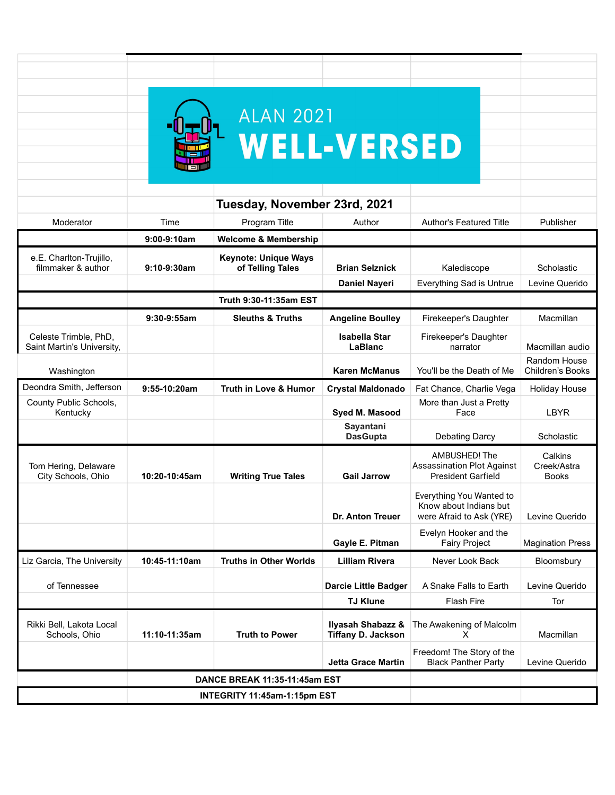|                                                     |                | <b>ALAN 2021</b>                                |                                                           |                                                                                 |                                        |
|-----------------------------------------------------|----------------|-------------------------------------------------|-----------------------------------------------------------|---------------------------------------------------------------------------------|----------------------------------------|
|                                                     |                |                                                 | <b>WELL-VERSED</b>                                        |                                                                                 |                                        |
|                                                     |                |                                                 |                                                           |                                                                                 |                                        |
|                                                     |                |                                                 |                                                           |                                                                                 |                                        |
|                                                     |                |                                                 |                                                           |                                                                                 |                                        |
|                                                     |                | Tuesday, November 23rd, 2021                    |                                                           |                                                                                 |                                        |
| Moderator                                           | Time           | Program Title                                   | Author                                                    | <b>Author's Featured Title</b>                                                  | Publisher                              |
|                                                     | $9:00-9:10am$  | <b>Welcome &amp; Membership</b>                 |                                                           |                                                                                 |                                        |
| e.E. Charlton-Trujillo,<br>filmmaker & author       | 9:10-9:30am    | <b>Keynote: Unique Ways</b><br>of Telling Tales | <b>Brian Selznick</b>                                     | Kalediscope                                                                     | Scholastic                             |
|                                                     |                |                                                 | <b>Daniel Nayeri</b>                                      | Everything Sad is Untrue                                                        | Levine Querido                         |
|                                                     |                | Truth 9:30-11:35am EST                          |                                                           |                                                                                 |                                        |
|                                                     | $9:30-9:55am$  | <b>Sleuths &amp; Truths</b>                     | <b>Angeline Boulley</b>                                   | Firekeeper's Daughter                                                           | Macmillan                              |
| Celeste Trimble, PhD,<br>Saint Martin's University, |                |                                                 | <b>Isabella Star</b><br>LaBlanc                           | Firekeeper's Daughter<br>narrator                                               | Macmillan audio                        |
| Washington                                          |                |                                                 | <b>Karen McManus</b>                                      | You'll be the Death of Me                                                       | Random House<br>Children's Books       |
| Deondra Smith, Jefferson                            | $9:55-10:20am$ | <b>Truth in Love &amp; Humor</b>                | <b>Crystal Maldonado</b>                                  | Fat Chance, Charlie Vega                                                        | <b>Holiday House</b>                   |
| County Public Schools,<br>Kentucky                  |                |                                                 | Syed M. Masood                                            | More than Just a Pretty<br>Face                                                 | <b>LBYR</b>                            |
|                                                     |                |                                                 | Sayantani<br><b>DasGupta</b>                              | <b>Debating Darcy</b>                                                           | Scholastic                             |
| Tom Hering, Delaware<br>City Schools, Ohio          | 10:20-10:45am  | <b>Writing True Tales</b>                       | <b>Gail Jarrow</b>                                        | AMBUSHED! The<br><b>Assassination Plot Against</b><br><b>President Garfield</b> | Calkins<br>Creek/Astra<br><b>Books</b> |
|                                                     |                |                                                 | <b>Dr. Anton Treuer</b>                                   | Everything You Wanted to<br>Know about Indians but<br>were Afraid to Ask (YRE)  | Levine Querido                         |
|                                                     |                |                                                 | Gayle E. Pitman                                           | Evelyn Hooker and the<br><b>Fairy Project</b>                                   | <b>Magination Press</b>                |
| Liz Garcia, The University                          | 10:45-11:10am  | <b>Truths in Other Worlds</b>                   | <b>Lilliam Rivera</b>                                     | Never Look Back                                                                 | Bloomsbury                             |
| of Tennessee                                        |                |                                                 | <b>Darcie Little Badger</b>                               | A Snake Falls to Earth                                                          | Levine Querido                         |
|                                                     |                |                                                 | <b>TJ Klune</b>                                           | <b>Flash Fire</b>                                                               | Tor                                    |
| Rikki Bell, Lakota Local<br>Schools, Ohio           | 11:10-11:35am  | <b>Truth to Power</b>                           | <b>Ilyasah Shabazz &amp;</b><br><b>Tiffany D. Jackson</b> | The Awakening of Malcolm<br>X                                                   | Macmillan                              |
|                                                     |                |                                                 | <b>Jetta Grace Martin</b>                                 | Freedom! The Story of the<br><b>Black Panther Party</b>                         | Levine Querido                         |
| <b>DANCE BREAK 11:35-11:45am EST</b>                |                |                                                 |                                                           |                                                                                 |                                        |
| INTEGRITY 11:45am-1:15pm EST                        |                |                                                 |                                                           |                                                                                 |                                        |